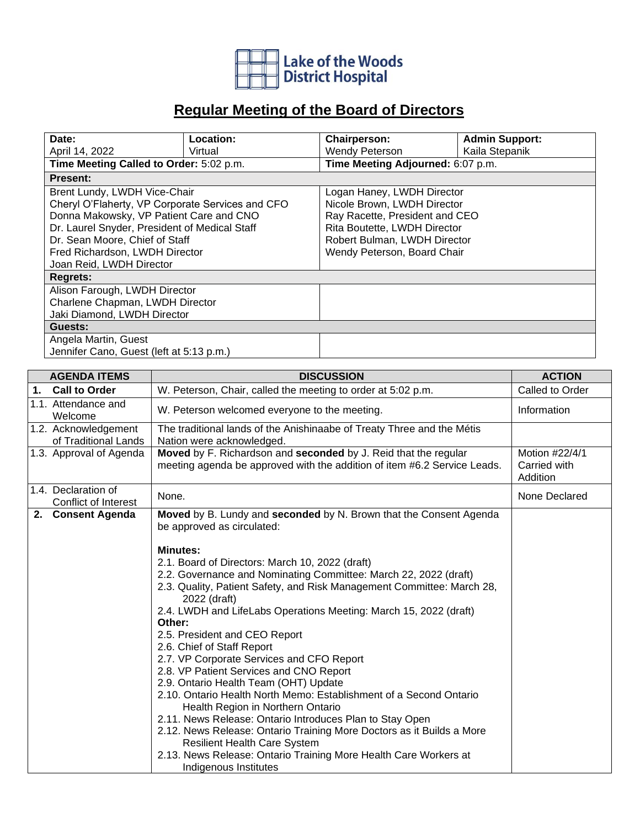

## **Regular Meeting of the Board of Directors**

| Date:                                            | <b>Location:</b> | <b>Chairperson:</b>          | <b>Admin Support:</b>             |  |
|--------------------------------------------------|------------------|------------------------------|-----------------------------------|--|
| April 14, 2022                                   | Virtual          | Wendy Peterson               | Kaila Stepanik                    |  |
| Time Meeting Called to Order: 5:02 p.m.          |                  |                              | Time Meeting Adjourned: 6:07 p.m. |  |
| <b>Present:</b>                                  |                  |                              |                                   |  |
| Brent Lundy, LWDH Vice-Chair                     |                  | Logan Haney, LWDH Director   |                                   |  |
| Cheryl O'Flaherty, VP Corporate Services and CFO |                  | Nicole Brown, LWDH Director  |                                   |  |
| Donna Makowsky, VP Patient Care and CNO          |                  |                              | Ray Racette, President and CEO    |  |
| Dr. Laurel Snyder, President of Medical Staff    |                  | Rita Boutette, LWDH Director |                                   |  |
| Dr. Sean Moore, Chief of Staff                   |                  |                              | Robert Bulman, LWDH Director      |  |
| Fred Richardson, LWDH Director                   |                  | Wendy Peterson, Board Chair  |                                   |  |
| Joan Reid, LWDH Director                         |                  |                              |                                   |  |
| <b>Regrets:</b>                                  |                  |                              |                                   |  |
| Alison Farough, LWDH Director                    |                  |                              |                                   |  |
| Charlene Chapman, LWDH Director                  |                  |                              |                                   |  |
| Jaki Diamond, LWDH Director                      |                  |                              |                                   |  |
| Guests:                                          |                  |                              |                                   |  |
| Angela Martin, Guest                             |                  |                              |                                   |  |
| Jennifer Cano, Guest (left at 5:13 p.m.)         |                  |                              |                                   |  |

| <b>DISCUSSION</b>                                                                                                                                                                                                                                                                                                                                                                                                                                                                                                                                                                                                                                                                                                                                                                                                                                                          | <b>ACTION</b>                              |
|----------------------------------------------------------------------------------------------------------------------------------------------------------------------------------------------------------------------------------------------------------------------------------------------------------------------------------------------------------------------------------------------------------------------------------------------------------------------------------------------------------------------------------------------------------------------------------------------------------------------------------------------------------------------------------------------------------------------------------------------------------------------------------------------------------------------------------------------------------------------------|--------------------------------------------|
| W. Peterson, Chair, called the meeting to order at 5:02 p.m.                                                                                                                                                                                                                                                                                                                                                                                                                                                                                                                                                                                                                                                                                                                                                                                                               | Called to Order                            |
| W. Peterson welcomed everyone to the meeting.                                                                                                                                                                                                                                                                                                                                                                                                                                                                                                                                                                                                                                                                                                                                                                                                                              | Information                                |
| The traditional lands of the Anishinaabe of Treaty Three and the Métis<br>Nation were acknowledged.                                                                                                                                                                                                                                                                                                                                                                                                                                                                                                                                                                                                                                                                                                                                                                        |                                            |
| Moved by F. Richardson and seconded by J. Reid that the regular<br>meeting agenda be approved with the addition of item #6.2 Service Leads.                                                                                                                                                                                                                                                                                                                                                                                                                                                                                                                                                                                                                                                                                                                                | Motion #22/4/1<br>Carried with<br>Addition |
| None.                                                                                                                                                                                                                                                                                                                                                                                                                                                                                                                                                                                                                                                                                                                                                                                                                                                                      | None Declared                              |
| Moved by B. Lundy and seconded by N. Brown that the Consent Agenda<br>be approved as circulated:                                                                                                                                                                                                                                                                                                                                                                                                                                                                                                                                                                                                                                                                                                                                                                           |                                            |
| <b>Minutes:</b><br>2.1. Board of Directors: March 10, 2022 (draft)<br>2.2. Governance and Nominating Committee: March 22, 2022 (draft)<br>2.3. Quality, Patient Safety, and Risk Management Committee: March 28,<br>2022 (draft)<br>2.4. LWDH and LifeLabs Operations Meeting: March 15, 2022 (draft)<br>Other:<br>2.5. President and CEO Report<br>2.6. Chief of Staff Report<br>2.7. VP Corporate Services and CFO Report<br>2.8. VP Patient Services and CNO Report<br>2.9. Ontario Health Team (OHT) Update<br>2.10. Ontario Health North Memo: Establishment of a Second Ontario<br>Health Region in Northern Ontario<br>2.11. News Release: Ontario Introduces Plan to Stay Open<br>2.12. News Release: Ontario Training More Doctors as it Builds a More<br><b>Resilient Health Care System</b><br>2.13. News Release: Ontario Training More Health Care Workers at |                                            |
|                                                                                                                                                                                                                                                                                                                                                                                                                                                                                                                                                                                                                                                                                                                                                                                                                                                                            | Indigenous Institutes                      |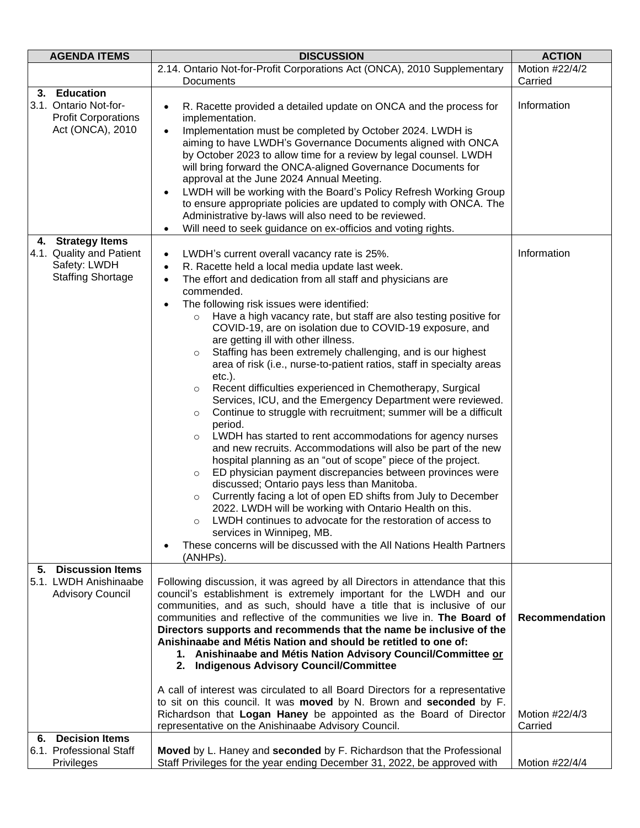| <b>AGENDA ITEMS</b>                                                                       | <b>DISCUSSION</b>                                                                                                                                                                                                                                                                                                                                                                                                                                                                                                                                                                                                                                                                                                                                                                                                                                                                                                                                                                                                                                                                                                                                                                                                                                                                                                                                                                                                                                                                                | <b>ACTION</b>                                      |
|-------------------------------------------------------------------------------------------|--------------------------------------------------------------------------------------------------------------------------------------------------------------------------------------------------------------------------------------------------------------------------------------------------------------------------------------------------------------------------------------------------------------------------------------------------------------------------------------------------------------------------------------------------------------------------------------------------------------------------------------------------------------------------------------------------------------------------------------------------------------------------------------------------------------------------------------------------------------------------------------------------------------------------------------------------------------------------------------------------------------------------------------------------------------------------------------------------------------------------------------------------------------------------------------------------------------------------------------------------------------------------------------------------------------------------------------------------------------------------------------------------------------------------------------------------------------------------------------------------|----------------------------------------------------|
|                                                                                           | 2.14. Ontario Not-for-Profit Corporations Act (ONCA), 2010 Supplementary                                                                                                                                                                                                                                                                                                                                                                                                                                                                                                                                                                                                                                                                                                                                                                                                                                                                                                                                                                                                                                                                                                                                                                                                                                                                                                                                                                                                                         | Motion #22/4/2                                     |
|                                                                                           | Documents                                                                                                                                                                                                                                                                                                                                                                                                                                                                                                                                                                                                                                                                                                                                                                                                                                                                                                                                                                                                                                                                                                                                                                                                                                                                                                                                                                                                                                                                                        | Carried                                            |
| 3. Education<br>3.1. Ontario Not-for-<br><b>Profit Corporations</b><br>Act (ONCA), 2010   | R. Racette provided a detailed update on ONCA and the process for<br>implementation.<br>Implementation must be completed by October 2024. LWDH is<br>$\bullet$<br>aiming to have LWDH's Governance Documents aligned with ONCA<br>by October 2023 to allow time for a review by legal counsel. LWDH<br>will bring forward the ONCA-aligned Governance Documents for<br>approval at the June 2024 Annual Meeting.<br>LWDH will be working with the Board's Policy Refresh Working Group<br>$\bullet$<br>to ensure appropriate policies are updated to comply with ONCA. The<br>Administrative by-laws will also need to be reviewed.<br>Will need to seek guidance on ex-officios and voting rights.<br>$\bullet$                                                                                                                                                                                                                                                                                                                                                                                                                                                                                                                                                                                                                                                                                                                                                                                 | Information                                        |
| 4. Strategy Items<br>4.1. Quality and Patient<br>Safety: LWDH<br><b>Staffing Shortage</b> | LWDH's current overall vacancy rate is 25%.<br>$\bullet$<br>R. Racette held a local media update last week.<br>The effort and dedication from all staff and physicians are<br>commended.<br>The following risk issues were identified:<br>$\bullet$<br>Have a high vacancy rate, but staff are also testing positive for<br>$\circ$<br>COVID-19, are on isolation due to COVID-19 exposure, and<br>are getting ill with other illness.<br>Staffing has been extremely challenging, and is our highest<br>$\circ$<br>area of risk (i.e., nurse-to-patient ratios, staff in specialty areas<br>$etc.$ ).<br>Recent difficulties experienced in Chemotherapy, Surgical<br>$\circ$<br>Services, ICU, and the Emergency Department were reviewed.<br>Continue to struggle with recruitment; summer will be a difficult<br>$\circ$<br>period.<br>LWDH has started to rent accommodations for agency nurses<br>$\circ$<br>and new recruits. Accommodations will also be part of the new<br>hospital planning as an "out of scope" piece of the project.<br>ED physician payment discrepancies between provinces were<br>$\circ$<br>discussed; Ontario pays less than Manitoba.<br>Currently facing a lot of open ED shifts from July to December<br>$\circ$<br>2022. LWDH will be working with Ontario Health on this.<br>LWDH continues to advocate for the restoration of access to<br>services in Winnipeg, MB.<br>These concerns will be discussed with the All Nations Health Partners<br>(ANHPs). | Information                                        |
| <b>Discussion Items</b><br>5.<br>5.1. LWDH Anishinaabe<br><b>Advisory Council</b>         | Following discussion, it was agreed by all Directors in attendance that this<br>council's establishment is extremely important for the LWDH and our<br>communities, and as such, should have a title that is inclusive of our<br>communities and reflective of the communities we live in. The Board of<br>Directors supports and recommends that the name be inclusive of the<br>Anishinaabe and Métis Nation and should be retitled to one of:<br>1. Anishinaabe and Métis Nation Advisory Council/Committee or<br>2. Indigenous Advisory Council/Committee<br>A call of interest was circulated to all Board Directors for a representative<br>to sit on this council. It was moved by N. Brown and seconded by F.<br>Richardson that Logan Haney be appointed as the Board of Director<br>representative on the Anishinaabe Advisory Council.                                                                                                                                                                                                                                                                                                                                                                                                                                                                                                                                                                                                                                                | <b>Recommendation</b><br>Motion #22/4/3<br>Carried |
| <b>Decision Items</b><br>6.                                                               |                                                                                                                                                                                                                                                                                                                                                                                                                                                                                                                                                                                                                                                                                                                                                                                                                                                                                                                                                                                                                                                                                                                                                                                                                                                                                                                                                                                                                                                                                                  |                                                    |
| 6.1. Professional Staff<br>Privileges                                                     | Moved by L. Haney and seconded by F. Richardson that the Professional<br>Staff Privileges for the year ending December 31, 2022, be approved with                                                                                                                                                                                                                                                                                                                                                                                                                                                                                                                                                                                                                                                                                                                                                                                                                                                                                                                                                                                                                                                                                                                                                                                                                                                                                                                                                | Motion #22/4/4                                     |